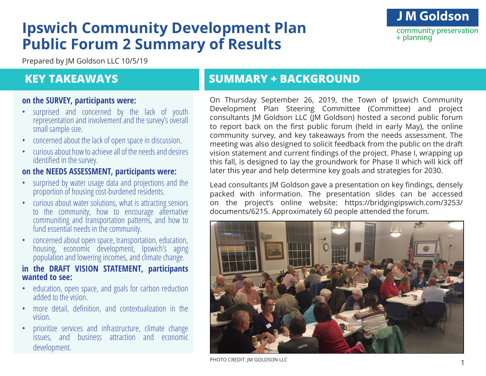# **Ipswich Community Development Plan Public Forum 2 Summary of Results**

**J M Goldson** community preservation  $+$  planning

Prepared by JM Goldson LLC 10/5/19

### **KEY TAKEAWAYS**

#### **on the SURVEY, participants were:**

- surprised and concerned by the lack of youth representation and involvement and the survey's overall small sample size.
- concerned about the lack of open space in discussion.
- curious about how to achieve all of the needs and desires identified in the survey.

#### **on the NEEDS ASSESSMENT, participants were:**

- surprised by water usage data and projections and the proportion of housing cost-burdened residents.
- curious about water solutions, what is attracting seniors to the community, how to encourage alternative communiting and transportation patterns, and how to fund essential needs in the community.
- concerned about open space, transportation, education, housing, economic development, Ipswich's aging population and lowering incomes, and climate change.

#### **in the DRAFT VISION STATEMENT, participants wanted to see:**

- education, open space, and goals for carbon reduction added to the vision.
- more detail, definition, and contextualization in the vision.
- prioritize services and infrastructure, climate change issues, and business attraction and economic development.

# **SUMMARY + BACKGROUND**

On Thursday September 26, 2019, the Town of Ipswich Community Development Plan Steering Committee (Committee) and project consultants JM Goldson LLC (JM Goldson) hosted a second public forum to report back on the first public forum (held in early May), the online community survey, and key takeaways from the needs assessment. The meeting was also designed to solicit feedback from the public on the draft vision statement and current findings of the project. Phase I, wrapping up this fall, is designed to lay the groundwork for Phase II which will kick off later this year and help determine key goals and strategies for 2030.

Lead consultants JM Goldson gave a presentation on key findings, densely packed with information. The presentation slides can be accessed on the project's online website: https://bridgingipswich.com/3253/ documents/6215. Approximately 60 people attended the forum.



PHOTO CREDIT: JM GOLDSON LLC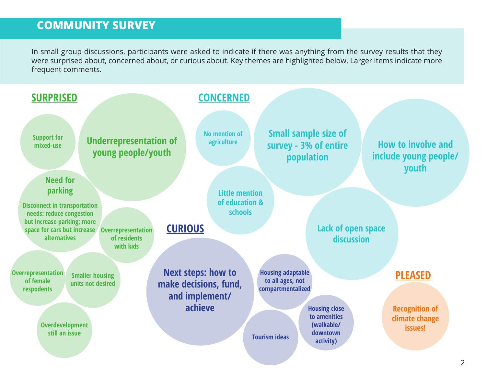### **COMMUNITY SURVEY**

In small group discussions, participants were asked to indicate if there was anything from the survey results that they were surprised about, concerned about, or curious about. Key themes are highlighted below. Larger items indicate more frequent comments.

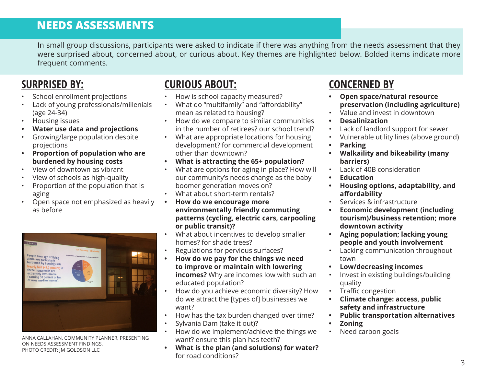### **NEEDS ASSESSMENTS**

In small group discussions, participants were asked to indicate if there was anything from the needs assessment that they were surprised about, concerned about, or curious about. Key themes are highlighted below. Bolded items indicate more frequent comments.

#### **SURPRISED BY:**

- School enrollment projections
- Lack of young professionals/millenials (age 24-34)
- Housing issues
- **• Water use data and projections**
- Growing/large population despite projections
- **• Proportion of population who are burdened by housing costs**
- View of downtown as vibrant
- View of schools as high-quality
- Proportion of the population that is aging
- Open space not emphasized as heavily as before



ANNA CALLAHAN, COMMUNITY PLANNER, PRESENTING ON NEEDS ASSESSMENT FINDINGS. PHOTO CREDIT: JM GOLDSON LLC

## **CURIOUS ABOUT:**

- How is school capacity measured?
- What do "multifamily" and "affordability" mean as related to housing?
- How do we compare to similar communities in the number of retirees? our school trend?
- What are appropriate locations for housing development? for commercial development other than downtown?
- **• What is attracting the 65+ population?**
- What are options for aging in place? How will our community's needs change as the baby boomer generation moves on?
- What about short-term rentals?
- **• How do we encourage more environmentally friendly commuting patterns (cycling, electric cars, carpooling or public transit)?**
- What about incentives to develop smaller homes? for shade trees?
- Regulations for pervious surfaces?
- **• How do we pay for the things we need to improve or maintain with lowering incomes?** Why are incomes low with such an educated population?
- How do you achieve economic diversity? How do we attract the [types of] businesses we want?
- How has the tax burden changed over time?
- Sylvania Dam (take it out)?
- How do we implement/achieve the things we want? ensure this plan has teeth?
- **• What is the plan (and solutions) for water?**  for road conditions?

### **CONCERNED BY**

- **• Open space/natural resource preservation (including agriculture)**
- Value and invest in downtown
- **• Desalinization**
- Lack of landlord support for sewer
- Vulnerable utility lines (above ground)
- **• Parking**
- **• Walkaility and bikeability (many barriers)**
- Lack of 40B consideration
- **• Education**
- **• Housing options, adaptability, and affordability**
- Services & infrastructure
- **• Economic development (including tourism)/business retention; more downtown activity**
- **• Aging population; lacking young people and youth involvement**
- Lacking communication throughout town
- **• Low/decreasing incomes**
- Invest in existing buildings/building quality
- Traffic congestion
- **• Climate change: access, public safety and infrastructure**
- **• Public transportation alternatives**
- **• Zoning**
- Need carbon goals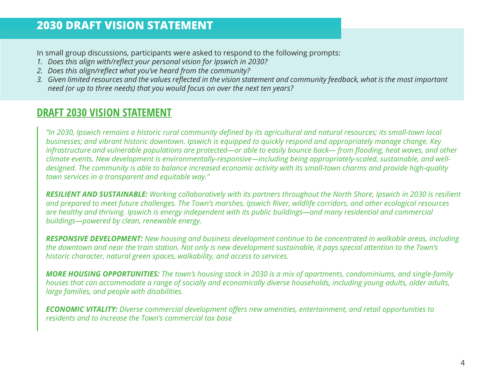### **2030 DRAFT VISION STATEMENT**

In small group discussions, participants were asked to respond to the following prompts:

- *1. Does this align with/reflect your personal vision for Ipswich in 2030?*
- *2. Does this align/reflect what you've heard from the community?*
- *3. Given limited resources and the values reflected in the vision statement and community feedback, what is the most important need (or up to three needs) that you would focus on over the next ten years?*

#### **DRAFT 2030 VISION STATEMENT**

*"In 2030, Ipswich remains a historic rural community defined by its agricultural and natural resources; its small-town local businesses; and vibrant historic downtown. Ipswich is equipped to quickly respond and appropriately manage change. Key infrastructure and vulnerable populations are protected—or able to easily bounce back— from flooding, heat waves, and other climate events. New development is environmentally-responsive—including being appropriately-scaled, sustainable, and welldesigned. The community is able to balance increased economic activity with its small-town charms and provide high-quality town services in a transparent and equitable way."*

*RESILIENT AND SUSTAINABLE: Working collaboratively with its partners throughout the North Shore, Ipswich in 2030 is resilient and prepared to meet future challenges. The Town's marshes, Ipswich River, wildlife corridors, and other ecological resources are healthy and thriving. Ipswich is energy independent with its public buildings—and many residential and commercial buildings—powered by clean, renewable energy.*

*RESPONSIVE DEVELOPMENT: New housing and business development continue to be concentrated in walkable areas, including the downtown and near the train station. Not only is new development sustainable, it pays special attention to the Town's historic character, natural green spaces, walkability, and access to services.* 

*MORE HOUSING OPPORTUNITIES: The town's housing stock in 2030 is a mix of apartments, condominiums, and single-family houses that can accommodate a range of socially and economically diverse households, including young adults, older adults, large families, and people with disabilities.* 

*ECONOMIC VITALITY: Diverse commercial development offers new amenities, entertainment, and retail opportunities to residents and to increase the Town's commercial tax base*